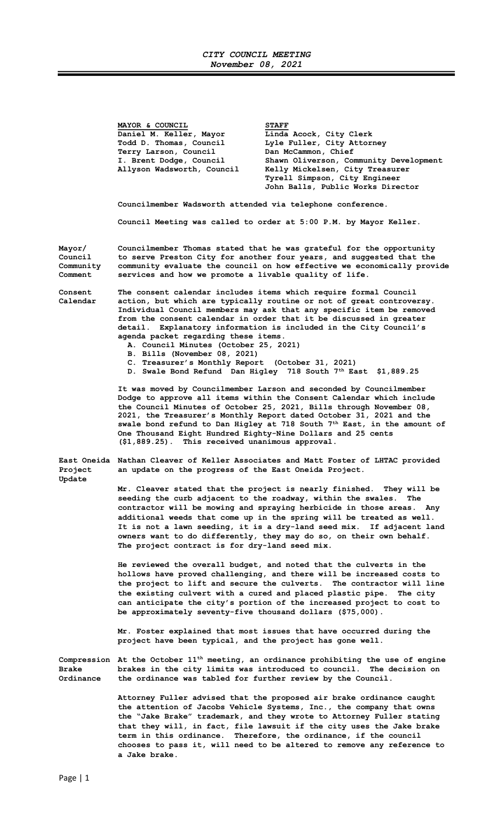## CITY COUNCIL MEETING November 08, 2021

MAYOR & COUNCIL STAFF Daniel M. Keller, Mayor Linda Acock, City Clerk Todd D. Thomas, Council Lyle Fuller, City Attorney Terry Larson, Council Dan McCammon, Chief I. Brent Dodge, Council Shawn Oliverson, Community Development Allyson Wadsworth, Council Kelly Mickelsen, City Treasurer Tyrell Simpson, City Engineer John Balls, Public Works Director

Councilmember Wadsworth attended via telephone conference.

Council Meeting was called to order at 5:00 P.M. by Mayor Keller.

Mayor/ Councilmember Thomas stated that he was grateful for the opportunity Council to serve Preston City for another four years, and suggested that the Community community evaluate the council on how effective we economically provide

Consent The consent calendar includes items which require formal Council Calendar action, but which are typically routine or not of great controversy. Individual Council members may ask that any specific item be removed from the consent calendar in order that it be discussed in greater detail. Explanatory information is included in the City Council's agenda packet regarding these items.

- A. Council Minutes (October 25, 2021)
- B. Bills (November 08, 2021)
- C. Treasurer's Monthly Report (October 31, 2021)

services and how we promote a livable quality of life.

D. Swale Bond Refund Dan Higley 718 South 7<sup>th</sup> East \$1,889.25

It was moved by Councilmember Larson and seconded by Councilmember Dodge to approve all items within the Consent Calendar which include the Council Minutes of October 25, 2021, Bills through November 08, 2021, the Treasurer's Monthly Report dated October 31, 2021 and the swale bond refund to Dan Higley at 718 South 7<sup>th</sup> East, in the amount of One Thousand Eight Hundred Eighty-Nine Dollars and 25 cents (\$1,889.25). This received unanimous approval.

East Oneida Nathan Cleaver of Keller Associates and Matt Foster of LHTAC provided Project an update on the progress of the East Oneida Project.

Update

Mr. Cleaver stated that the project is nearly finished. They will be seeding the curb adjacent to the roadway, within the swales. The contractor will be mowing and spraying herbicide in those areas. Any additional weeds that come up in the spring will be treated as well. It is not a lawn seeding, it is a dry-land seed mix. If adjacent land owners want to do differently, they may do so, on their own behalf. The project contract is for dry-land seed mix.

 He reviewed the overall budget, and noted that the culverts in the hollows have proved challenging, and there will be increased costs to the project to lift and secure the culverts. The contractor will line the existing culvert with a cured and placed plastic pipe. The city can anticipate the city's portion of the increased project to cost to be approximately seventy-five thousand dollars (\$75,000).

 Mr. Foster explained that most issues that have occurred during the project have been typical, and the project has gone well.

Compression At the October  $11<sup>th</sup>$  meeting, an ordinance prohibiting the use of engine Brake brakes in the city limits was introduced to council. The decision on Ordinance the ordinance was tabled for further review by the Council.

> Attorney Fuller advised that the proposed air brake ordinance caught the attention of Jacobs Vehicle Systems, Inc., the company that owns the "Jake Brake" trademark, and they wrote to Attorney Fuller stating that they will, in fact, file lawsuit if the city uses the Jake brake term in this ordinance. Therefore, the ordinance, if the council chooses to pass it, will need to be altered to remove any reference to a Jake brake.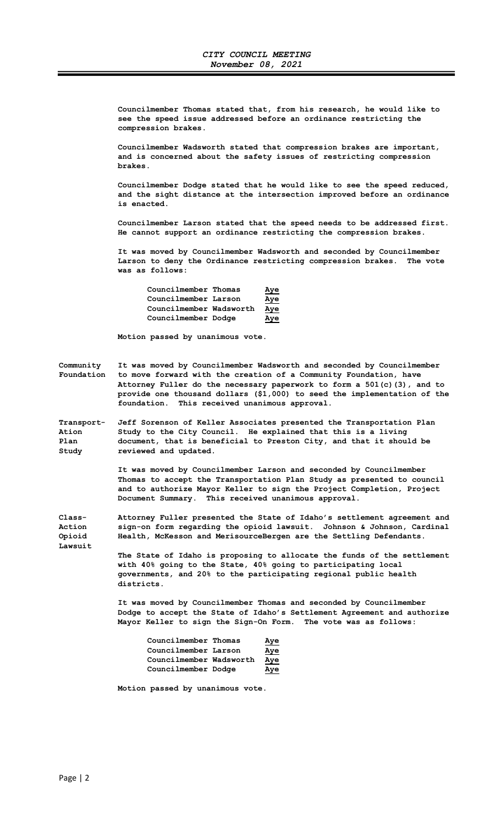Councilmember Thomas stated that, from his research, he would like to see the speed issue addressed before an ordinance restricting the compression brakes.

Councilmember Wadsworth stated that compression brakes are important, and is concerned about the safety issues of restricting compression brakes.

Councilmember Dodge stated that he would like to see the speed reduced, and the sight distance at the intersection improved before an ordinance is enacted.

Councilmember Larson stated that the speed needs to be addressed first. He cannot support an ordinance restricting the compression brakes.

It was moved by Councilmember Wadsworth and seconded by Councilmember Larson to deny the Ordinance restricting compression brakes. The vote was as follows:

| Councilmember Thomas    | Aye |
|-------------------------|-----|
| Councilmember Larson    | Aye |
| Councilmember Wadsworth | Aye |
| Councilmember Dodge     | Aye |

Motion passed by unanimous vote.

Community It was moved by Councilmember Wadsworth and seconded by Councilmember Foundation to move forward with the creation of a Community Foundation, have Attorney Fuller do the necessary paperwork to form a  $501(c)$  (3), and to provide one thousand dollars (\$1,000) to seed the implementation of the foundation. This received unanimous approval.

Transport- Jeff Sorenson of Keller Associates presented the Transportation Plan<br>Ation 3tudy to the City Council. He explained that this is a living Study to the City Council. He explained that this is a living Plan document, that is beneficial to Preston City, and that it should be Study reviewed and updated.

> It was moved by Councilmember Larson and seconded by Councilmember Thomas to accept the Transportation Plan Study as presented to council and to authorize Mayor Keller to sign the Project Completion, Project Document Summary. This received unanimous approval.

Class- Attorney Fuller presented the State of Idaho's settlement agreement and Action sign-on form regarding the opioid lawsuit. Johnson & Johnson, Cardinal Opioid Health, McKesson and MerisourceBergen are the Settling Defendants. Lawsuit

> The State of Idaho is proposing to allocate the funds of the settlement with 40% going to the State, 40% going to participating local governments, and 20% to the participating regional public health districts.

> It was moved by Councilmember Thomas and seconded by Councilmember Dodge to accept the State of Idaho's Settlement Agreement and authorize Mayor Keller to sign the Sign-On Form. The vote was as follows:

| Councilmember Thomas    | Aye        |
|-------------------------|------------|
| Councilmember Larson    | <u>Aye</u> |
| Councilmember Wadsworth | Aye        |
| Councilmember Dodge     | Aye        |

Motion passed by unanimous vote.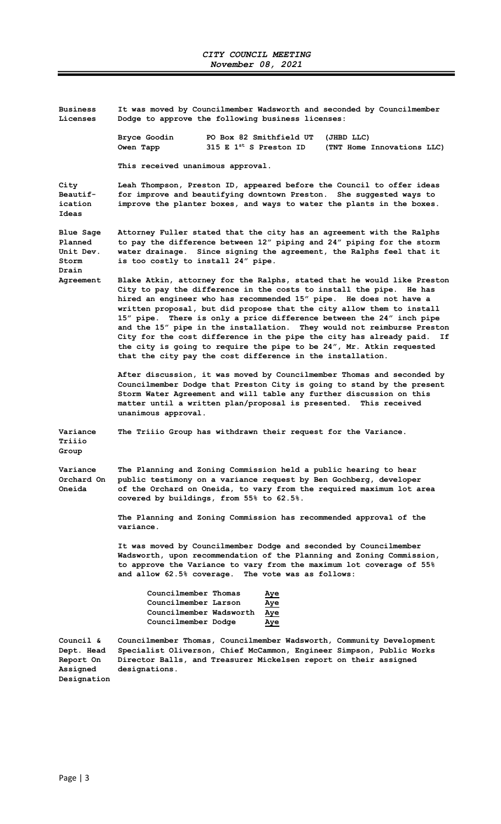| <b>Business</b><br>Licenses                                     | It was moved by Councilmember Wadsworth and seconded by Councilmember<br>Dodge to approve the following business licenses:                                                                                                                                                                                                                                                                                                                                                                                                                                                                                                                                               |  |  |  |  |
|-----------------------------------------------------------------|--------------------------------------------------------------------------------------------------------------------------------------------------------------------------------------------------------------------------------------------------------------------------------------------------------------------------------------------------------------------------------------------------------------------------------------------------------------------------------------------------------------------------------------------------------------------------------------------------------------------------------------------------------------------------|--|--|--|--|
|                                                                 | PO Box 82 Smithfield UT<br>Bryce Goodin<br>(JHBD LLC)<br>Owen Tapp<br>315 E $1^{st}$ S Preston ID<br>(TNT Home Innovations LLC)                                                                                                                                                                                                                                                                                                                                                                                                                                                                                                                                          |  |  |  |  |
|                                                                 | This received unanimous approval.                                                                                                                                                                                                                                                                                                                                                                                                                                                                                                                                                                                                                                        |  |  |  |  |
| City<br><b>Beautif-</b><br>ication<br>Ideas                     | Leah Thompson, Preston ID, appeared before the Council to offer ideas<br>for improve and beautifying downtown Preston. She suggested ways to<br>improve the planter boxes, and ways to water the plants in the boxes.                                                                                                                                                                                                                                                                                                                                                                                                                                                    |  |  |  |  |
| Blue Sage<br>Planned<br>Unit Dev.<br>Storm                      | Attorney Fuller stated that the city has an agreement with the Ralphs<br>to pay the difference between 12" piping and 24" piping for the storm<br>water drainage. Since signing the agreement, the Ralphs feel that it<br>is too costly to install 24" pipe.                                                                                                                                                                                                                                                                                                                                                                                                             |  |  |  |  |
| Drain<br>Agreement                                              | Blake Atkin, attorney for the Ralphs, stated that he would like Preston<br>City to pay the difference in the costs to install the pipe.<br>He has<br>hired an engineer who has recommended 15" pipe. He does not have a<br>written proposal, but did propose that the city allow them to install<br>15″ pipe.<br>There is only a price difference between the 24" inch pipe<br>and the 15" pipe in the installation. They would not reimburse Preston<br>City for the cost difference in the pipe the city has already paid.<br>Ιf<br>the city is going to require the pipe to be 24", Mr. Atkin requested<br>that the city pay the cost difference in the installation. |  |  |  |  |
|                                                                 | After discussion, it was moved by Councilmember Thomas and seconded by<br>Councilmember Dodge that Preston City is going to stand by the present<br>Storm Water Agreement and will table any further discussion on this<br>matter until a written plan/proposal is presented. This received<br>unanimous approval.                                                                                                                                                                                                                                                                                                                                                       |  |  |  |  |
| Variance<br>Triiio<br>Group                                     | The Triiio Group has withdrawn their request for the Variance.                                                                                                                                                                                                                                                                                                                                                                                                                                                                                                                                                                                                           |  |  |  |  |
| Variance<br>Orchard On<br>Oneida                                | The Planning and Zoning Commission held a public hearing to hear<br>public testimony on a variance request by Ben Gochberg, developer<br>of the Orchard on Oneida, to vary from the required maximum lot area<br>covered by buildings, from 55% to 62.5%.                                                                                                                                                                                                                                                                                                                                                                                                                |  |  |  |  |
|                                                                 | The Planning and Zoning Commission has recommended approval of the<br>variance.                                                                                                                                                                                                                                                                                                                                                                                                                                                                                                                                                                                          |  |  |  |  |
|                                                                 | It was moved by Councilmember Dodge and seconded by Councilmember<br>Wadsworth, upon recommendation of the Planning and Zoning Commission,<br>to approve the Variance to vary from the maximum lot coverage of 55%<br>and allow 62.5% coverage. The vote was as follows:                                                                                                                                                                                                                                                                                                                                                                                                 |  |  |  |  |
|                                                                 | Councilmember Thomas<br>Aye<br>Councilmember Larson<br>Aye<br>Councilmember Wadsworth<br>Aye<br>Councilmember Dodge<br>Aye                                                                                                                                                                                                                                                                                                                                                                                                                                                                                                                                               |  |  |  |  |
| Council &<br>Dept. Head<br>Report On<br>Assigned<br>Designation | Councilmember Thomas, Councilmember Wadsworth, Community Development<br>Specialist Oliverson, Chief McCammon, Engineer Simpson, Public Works<br>Director Balls, and Treasurer Mickelsen report on their assigned<br>designations.                                                                                                                                                                                                                                                                                                                                                                                                                                        |  |  |  |  |